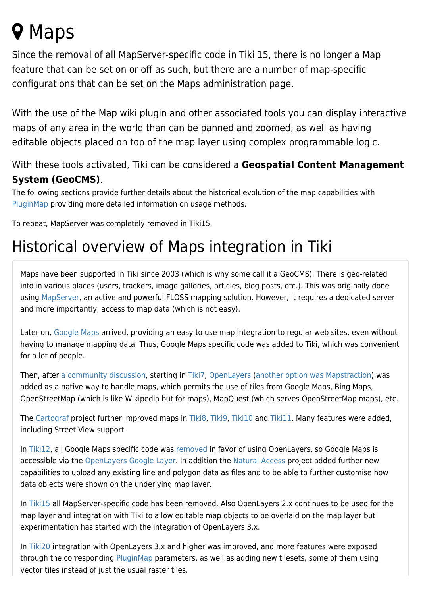## **Q** Maps

Since the removal of all MapServer-specific code in Tiki 15, there is no longer a Map feature that can be set on or off as such, but there are a number of map-specific configurations that can be set on the Maps administration page.

With the use of the Map wiki plugin and other associated tools you can display interactive maps of any area in the world than can be panned and zoomed, as well as having editable objects placed on top of the map layer using complex programmable logic.

## With these tools activated, Tiki can be considered a **Geospatial Content Management System (GeoCMS)**.

The following sections provide further details about the historical evolution of the map capabilities with [PluginMap](https://doc.tiki.org/PluginMap) providing more detailed information on usage methods.

To repeat, MapServer was completely removed in Tiki15.

## Historical overview of Maps integration in Tiki

Maps have been supported in Tiki since 2003 (which is why some call it a GeoCMS). There is geo-related info in various places (users, trackers, image galleries, articles, blog posts, etc.). This was originally done using [MapServer](http://mapserver.org/), an active and powerful FLOSS mapping solution. However, it requires a dedicated server and more importantly, access to map data (which is not easy).

Later on, [Google Maps](http://en.wikipedia.org/wiki/Google_Maps) arrived, providing an easy to use map integration to regular web sites, even without having to manage mapping data. Thus, Google Maps specific code was added to Tiki, which was convenient for a lot of people.

Then, after [a community discussion,](http://thread.gmane.org/gmane.comp.cms.tiki.devel/19297) starting in [Tiki7,](https://doc.tiki.org/Tiki7) [OpenLayers](https://doc.tiki.org/OpenLayers) ([another option was Mapstraction](https://www.ohloh.net/p/compare?metric=Summary&project_0=Mapstraction&project_1=&project_2=OpenLayers)) was added as a native way to handle maps, which permits the use of tiles from Google Maps, Bing Maps, OpenStreetMap (which is like Wikipedia but for maps), MapQuest (which serves OpenStreetMap maps), etc.

The [Cartograf](http://profiles.tiki.org/Cartograf) project further improved maps in [Tiki8,](https://doc.tiki.org/Tiki8) [Tiki9](https://doc.tiki.org/Tiki9), [Tiki10](https://doc.tiki.org/Tiki10) and [Tiki11](https://doc.tiki.org/Tiki11). Many features were added, including Street View support.

In [Tiki12](https://doc.tiki.org/Tiki12), all Google Maps specific code was [removed](http://dev.tiki.org/item4908) in favor of using OpenLayers, so Google Maps is accessible via the [OpenLayers Google Layer](http://openlayers.org/dev/examples/google.html). In addition the [Natural Access](http://www.naturalaccess.org.uk) project added further new capabilities to upload any existing line and polygon data as files and to be able to further customise how data objects were shown on the underlying map layer.

In [Tiki15](https://doc.tiki.org/Tiki15) all MapServer-specific code has been removed. Also OpenLayers 2.x continues to be used for the map layer and integration with Tiki to allow editable map objects to be overlaid on the map layer but experimentation has started with the integration of OpenLayers 3.x.

In [Tiki20](https://doc.tiki.org/Tiki20) integration with OpenLayers 3.x and higher was improved, and more features were exposed through the corresponding [PluginMap](https://doc.tiki.org/PluginMap) parameters, as well as adding new tilesets, some of them using vector tiles instead of just the usual raster tiles.